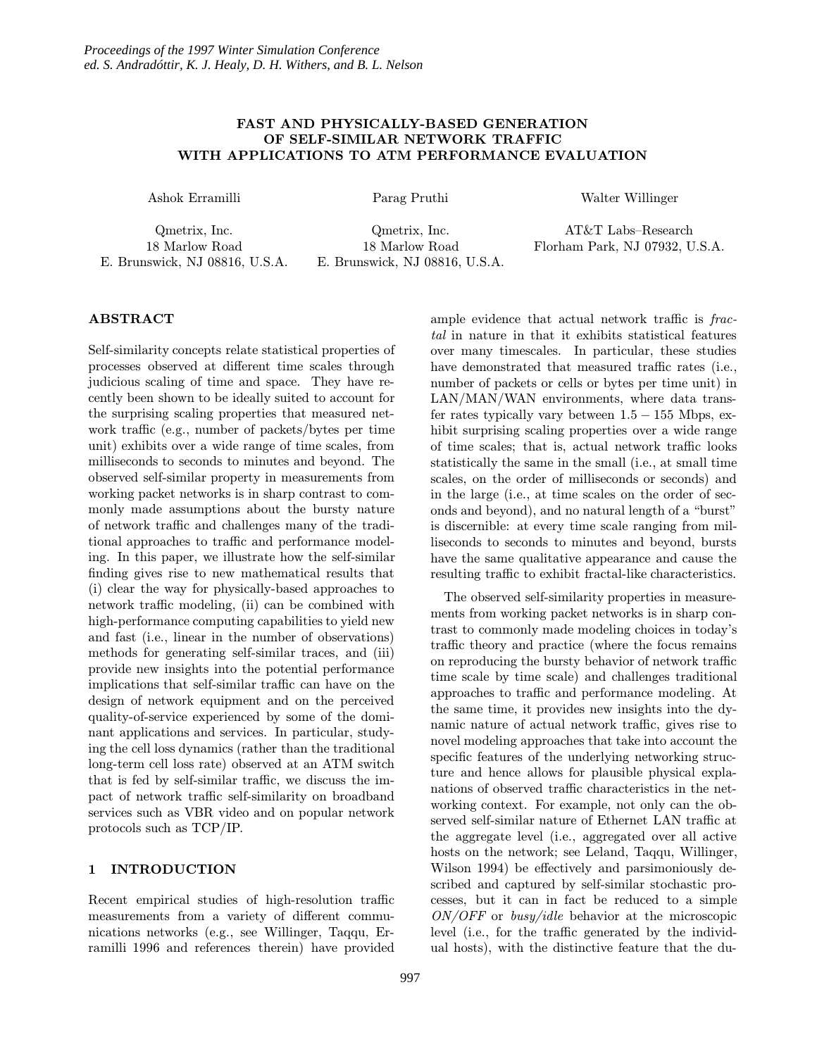## FAST AND PHYSICALLY-BASED GENERATION OF SELF-SIMILAR NETWORK TRAFFIC WITH APPLICATIONS TO ATM PERFORMANCE EVALUATION

Ashok Erramilli

Qmetrix, Inc. 18 Marlow Road E. Brunswick, NJ 08816, U.S.A. Parag Pruthi

Walter Willinger

AT&T Labs–Research Florham Park, NJ 07932, U.S.A.

Qmetrix, Inc. 18 Marlow Road E. Brunswick, NJ 08816, U.S.A.

ABSTRACT

Self-similarity concepts relate statistical properties of processes observed at different time scales through judicious scaling of time and space. They have recently been shown to be ideally suited to account for the surprising scaling properties that measured network traffic (e.g., number of packets/bytes per time unit) exhibits over a wide range of time scales, from milliseconds to seconds to minutes and beyond. The observed self-similar property in measurements from working packet networks is in sharp contrast to commonly made assumptions about the bursty nature of network traffic and challenges many of the traditional approaches to traffic and performance modeling. In this paper, we illustrate how the self-similar finding gives rise to new mathematical results that (i) clear the way for physically-based approaches to network traffic modeling, (ii) can be combined with high-performance computing capabilities to yield new and fast (i.e., linear in the number of observations) methods for generating self-similar traces, and (iii) provide new insights into the potential performance implications that self-similar traffic can have on the design of network equipment and on the perceived quality-of-service experienced by some of the dominant applications and services. In particular, studying the cell loss dynamics (rather than the traditional long-term cell loss rate) observed at an ATM switch that is fed by self-similar traffic, we discuss the impact of network traffic self-similarity on broadband services such as VBR video and on popular network protocols such as TCP/IP.

### 1 INTRODUCTION

Recent empirical studies of high-resolution traffic measurements from a variety of different communications networks (e.g., see Willinger, Taqqu, Erramilli 1996 and references therein) have provided ample evidence that actual network traffic is fractal in nature in that it exhibits statistical features over many timescales. In particular, these studies have demonstrated that measured traffic rates (i.e., number of packets or cells or bytes per time unit) in LAN/MAN/WAN environments, where data transfer rates typically vary between  $1.5 - 155$  Mbps, exhibit surprising scaling properties over a wide range of time scales; that is, actual network traffic looks statistically the same in the small (i.e., at small time scales, on the order of milliseconds or seconds) and in the large (i.e., at time scales on the order of seconds and beyond), and no natural length of a "burst" is discernible: at every time scale ranging from milliseconds to seconds to minutes and beyond, bursts have the same qualitative appearance and cause the resulting traffic to exhibit fractal-like characteristics.

The observed self-similarity properties in measurements from working packet networks is in sharp contrast to commonly made modeling choices in today's traffic theory and practice (where the focus remains on reproducing the bursty behavior of network traffic time scale by time scale) and challenges traditional approaches to traffic and performance modeling. At the same time, it provides new insights into the dynamic nature of actual network traffic, gives rise to novel modeling approaches that take into account the specific features of the underlying networking structure and hence allows for plausible physical explanations of observed traffic characteristics in the networking context. For example, not only can the observed self-similar nature of Ethernet LAN traffic at the aggregate level (i.e., aggregated over all active hosts on the network; see Leland, Taqqu, Willinger, Wilson 1994) be effectively and parsimoniously described and captured by self-similar stochastic processes, but it can in fact be reduced to a simple ON/OFF or busy/idle behavior at the microscopic level (i.e., for the traffic generated by the individual hosts), with the distinctive feature that the du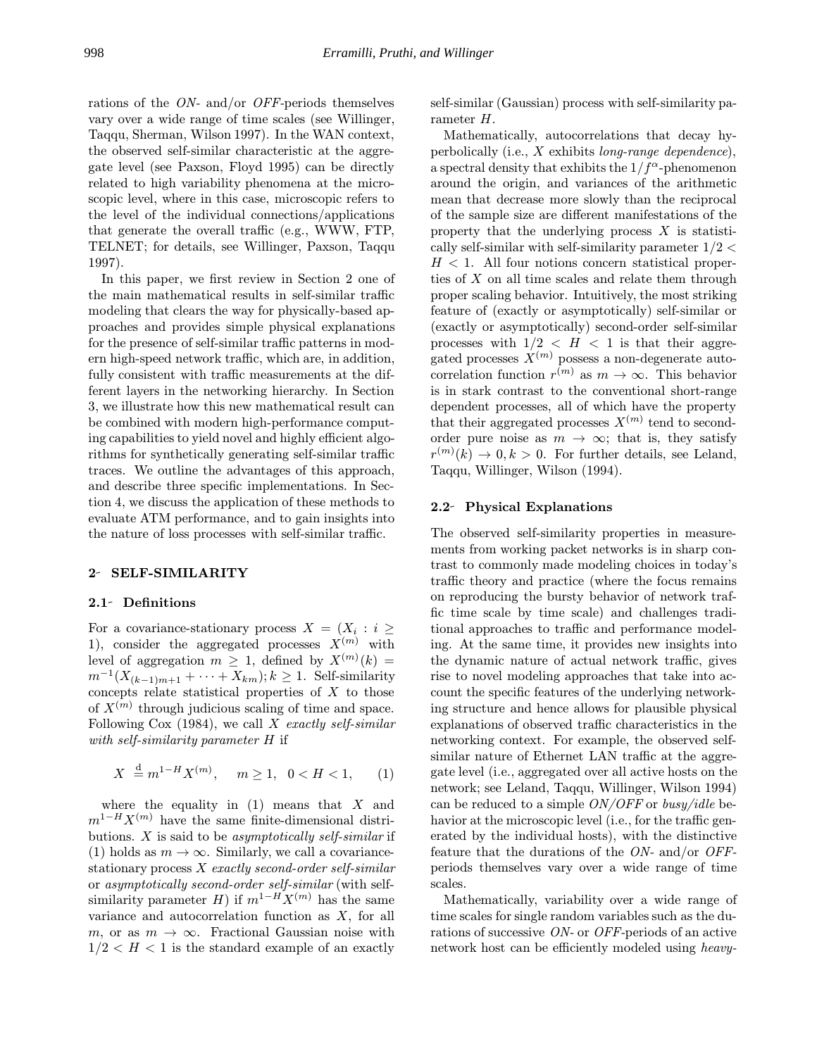rations of the ON- and/or OFF-periods themselves vary over a wide range of time scales (see Willinger, Taqqu, Sherman, Wilson 1997). In the WAN context, the observed self-similar characteristic at the aggregate level (see Paxson, Floyd 1995) can be directly related to high variability phenomena at the microscopic level, where in this case, microscopic refers to the level of the individual connections/applications that generate the overall traffic (e.g., WWW, FTP, TELNET; for details, see Willinger, Paxson, Taqqu 1997).

In this paper, we first review in Section 2 one of the main mathematical results in self-similar traffic modeling that clears the way for physically-based approaches and provides simple physical explanations for the presence of self-similar traffic patterns in modern high-speed network traffic, which are, in addition, fully consistent with traffic measurements at the different layers in the networking hierarchy. In Section 3, we illustrate how this new mathematical result can be combined with modern high-performance computing capabilities to yield novel and highly efficient algorithms for synthetically generating self-similar traffic traces. We outline the advantages of this approach, and describe three specific implementations. In Section 4, we discuss the application of these methods to evaluate ATM performance, and to gain insights into the nature of loss processes with self-similar traffic.

### 2- SELF-SIMILARITY

### 2.1- Definitions

For a covariance-stationary process  $X = (X_i : i \geq)$ 1), consider the aggregated processes  $X^{(m)}$  with level of aggregation  $m \geq 1$ , defined by  $X^{(m)}(k) =$  $m^{-1}(X_{(k-1)m+1} + \cdots + X_{km}); k \ge 1$ . Self-similarity concepts relate statistical properties of  $X$  to those of  $X^{(m)}$  through judicious scaling of time and space. Following Cox  $(1984)$ , we call X exactly self-similar with self-similarity parameter H if

$$
X \stackrel{d}{=} m^{1-H} X^{(m)}, \quad m \ge 1, \ \ 0 < H < 1,\tag{1}
$$

where the equality in  $(1)$  means that X and  $m^{1-H}X^{(m)}$  have the same finite-dimensional distributions.  $X$  is said to be asymptotically self-similar if (1) holds as  $m \to \infty$ . Similarly, we call a covariancestationary process X exactly second-order self-similar or asymptotically second-order self-similar (with selfsimilarity parameter H) if  $m^{1-H}X^{(m)}$  has the same variance and autocorrelation function as X, for all m, or as  $m \to \infty$ . Fractional Gaussian noise with  $1/2 < H < 1$  is the standard example of an exactly

self-similar (Gaussian) process with self-similarity parameter H.

Mathematically, autocorrelations that decay hyperbolically (i.e.,  $X$  exhibits long-range dependence), a spectral density that exhibits the  $1/f^{\alpha}$ -phenomenon around the origin, and variances of the arithmetic mean that decrease more slowly than the reciprocal of the sample size are different manifestations of the property that the underlying process  $X$  is statistically self-similar with self-similarity parameter  $1/2 <$  $H < 1$ . All four notions concern statistical properties of  $X$  on all time scales and relate them through proper scaling behavior. Intuitively, the most striking feature of (exactly or asymptotically) self-similar or (exactly or asymptotically) second-order self-similar processes with  $1/2 < H < 1$  is that their aggregated processes  $X^{(m)}$  possess a non-degenerate autocorrelation function  $r^{(m)}$  as  $m \to \infty$ . This behavior is in stark contrast to the conventional short-range dependent processes, all of which have the property that their aggregated processes  $X^{(m)}$  tend to secondorder pure noise as  $m \to \infty$ ; that is, they satisfy  $r^{(m)}(k) \to 0, k > 0$ . For further details, see Leland, Taqqu, Willinger, Wilson (1994).

### 2.2 Physical Explanations

The observed self-similarity properties in measurements from working packet networks is in sharp contrast to commonly made modeling choices in today's traffic theory and practice (where the focus remains on reproducing the bursty behavior of network traffic time scale by time scale) and challenges traditional approaches to traffic and performance modeling. At the same time, it provides new insights into the dynamic nature of actual network traffic, gives rise to novel modeling approaches that take into account the specific features of the underlying networking structure and hence allows for plausible physical explanations of observed traffic characteristics in the networking context. For example, the observed selfsimilar nature of Ethernet LAN traffic at the aggregate level (i.e., aggregated over all active hosts on the network; see Leland, Taqqu, Willinger, Wilson 1994) can be reduced to a simple  $ON/OFF$  or busy/idle behavior at the microscopic level (i.e., for the traffic generated by the individual hosts), with the distinctive feature that the durations of the  $ON-$  and/or  $OFF$ periods themselves vary over a wide range of time scales.

Mathematically, variability over a wide range of time scales for single random variables such as the durations of successive ON- or OFF-periods of an active network host can be efficiently modeled using heavy-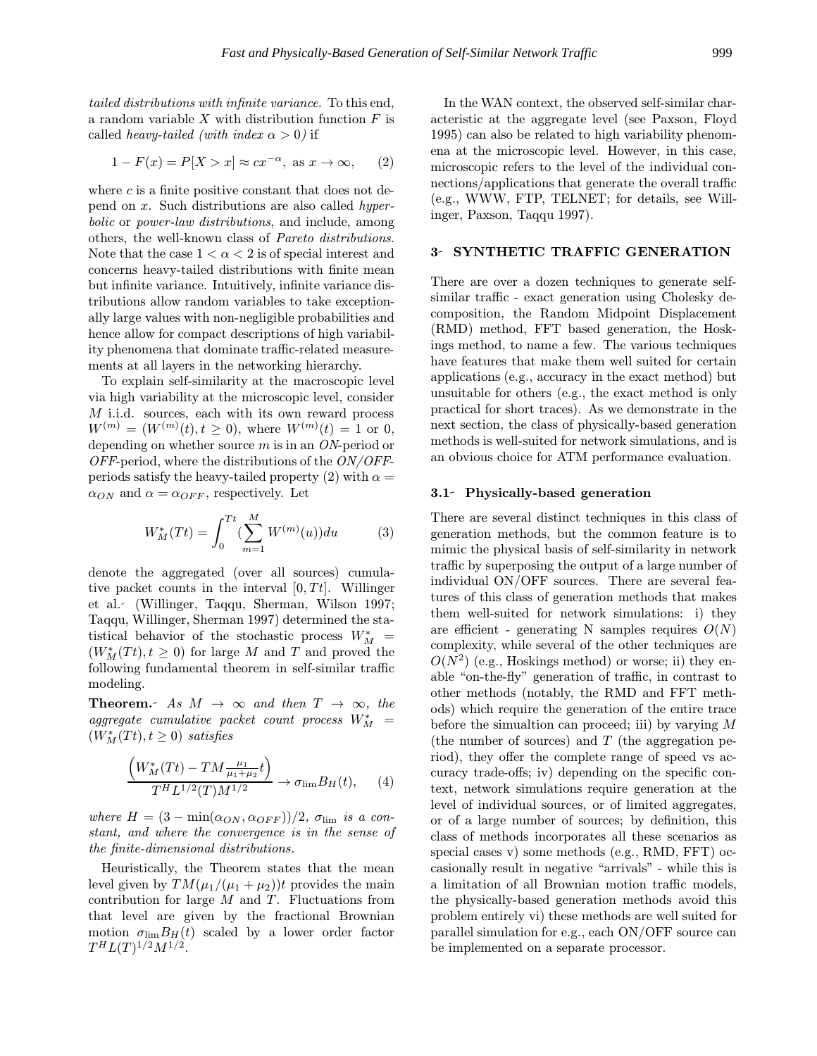tailed distributions with infinite variance. To this end, a random variable  $X$  with distribution function  $F$  is called *heavy-tailed (with index*  $\alpha > 0$ *)* if

$$
1 - F(x) = P[X > x] \approx cx^{-\alpha}, \text{ as } x \to \infty,
$$
 (2)

where  $c$  is a finite positive constant that does not depend on x. Such distributions are also called hyperbolic or power-law distributions, and include, among others, the well-known class of Pareto distributions. Note that the case  $1 < \alpha < 2$  is of special interest and concerns heavy-tailed distributions with finite mean but infinite variance. Intuitively, infinite variance distributions allow random variables to take exceptionally large values with non-negligible probabilities and hence allow for compact descriptions of high variability phenomena that dominate traffic-related measurements at all layers in the networking hierarchy.

To explain self-similarity at the macroscopic level via high variability at the microscopic level, consider M i.i.d. sources, each with its own reward process  $W^{(m)} = (W^{(m)}(t), t > 0)$ , where  $W^{(m)}(t) = 1$  or 0, depending on whether source  $m$  is in an  $ON$ -period or  $OFF$ -period, where the distributions of the  $ON/OFF$ periods satisfy the heavy-tailed property (2) with  $\alpha =$  $\alpha_{ON}$  and  $\alpha = \alpha_{OFF}$ , respectively. Let

$$
W_M^*(Tt) = \int_0^{Tt} \left(\sum_{m=1}^M W^{(m)}(u)\right) du \tag{3}
$$

denote the aggregated (over all sources) cumulative packet counts in the interval  $[0, Tt]$ . Willinger et al. (Willinger, Taqqu, Sherman, Wilson 1997; Taqqu, Willinger, Sherman 1997) determined the statistical behavior of the stochastic process  $W_M^*$  =  $(W_M^*(Tt), t \geq 0)$  for large M and T and proved the following fundamental theorem in self-similar traffic modeling.

**Theorem.** As  $M \to \infty$  and then  $T \to \infty$ , the  $\begin{array}{lclclclcl} aggregate & cumulative & packet & count & process & W^*_M & = \end{array}$  $(W_M^*(Tt), t \geq 0)$  satisfies

$$
\frac{\left(W_M^*(Tt) - TM\frac{\mu_1}{\mu_1 + \mu_2}t\right)}{T^H L^{1/2}(T)M^{1/2}} \to \sigma_{\lim} B_H(t), \quad (4)
$$

where  $H = (3 - \min(\alpha_{ON}, \alpha_{OFF}))/2$ ,  $\sigma_{\text{lim}}$  is a constant, and where the convergence is in the sense of the finite-dimensional distributions.

Heuristically, the Theorem states that the mean level given by  $TM(\mu_1/(\mu_1 + \mu_2))t$  provides the main contribution for large  $M$  and  $T$ . Fluctuations from that level are given by the fractional Brownian motion  $\sigma_{\lim}B_H(t)$  scaled by a lower order factor  $T^H L(T)^{1/2} M^{1/2}.$ 

In the WAN context, the observed self-similar characteristic at the aggregate level (see Paxson, Floyd 1995) can also be related to high variability phenomena at the microscopic level. However, in this case, microscopic refers to the level of the individual connections/applications that generate the overall traffic (e.g., WWW, FTP, TELNET; for details, see Willinger, Paxson, Taqqu 1997).

### 3- SYNTHETIC TRAFFIC GENERATION

There are over a dozen techniques to generate selfsimilar traffic - exact generation using Cholesky decomposition, the Random Midpoint Displacement (RMD) method, FFT based generation, the Hoskings method, to name a few. The various techniques have features that make them well suited for certain applications (e.g., accuracy in the exact method) but unsuitable for others (e.g., the exact method is only practical for short traces). As we demonstrate in the next section, the class of physically-based generation methods is well-suited for network simulations, and is an obvious choice for ATM performance evaluation.

### 3.1 Physically-based generation

There are several distinct techniques in this class of generation methods, but the common feature is to mimic the physical basis of self-similarity in network traffic by superposing the output of a large number of individual ON/OFF sources. There are several features of this class of generation methods that makes them well-suited for network simulations: i) they are efficient - generating N samples requires  $O(N)$ complexity, while several of the other techniques are  $O(N^2)$  (e.g., Hoskings method) or worse; ii) they enable "on-the-fly" generation of traffic, in contrast to other methods (notably, the RMD and FFT methods) which require the generation of the entire trace before the simualtion can proceed; iii) by varying  $M$ (the number of sources) and  $T$  (the aggregation period), they offer the complete range of speed vs accuracy trade-offs; iv) depending on the specific context, network simulations require generation at the level of individual sources, or of limited aggregates, or of a large number of sources; by definition, this class of methods incorporates all these scenarios as special cases v) some methods (e.g., RMD, FFT) occasionally result in negative "arrivals" - while this is a limitation of all Brownian motion traffic models, the physically-based generation methods avoid this problem entirely vi) these methods are well suited for parallel simulation for e.g., each ON/OFF source can be implemented on a separate processor.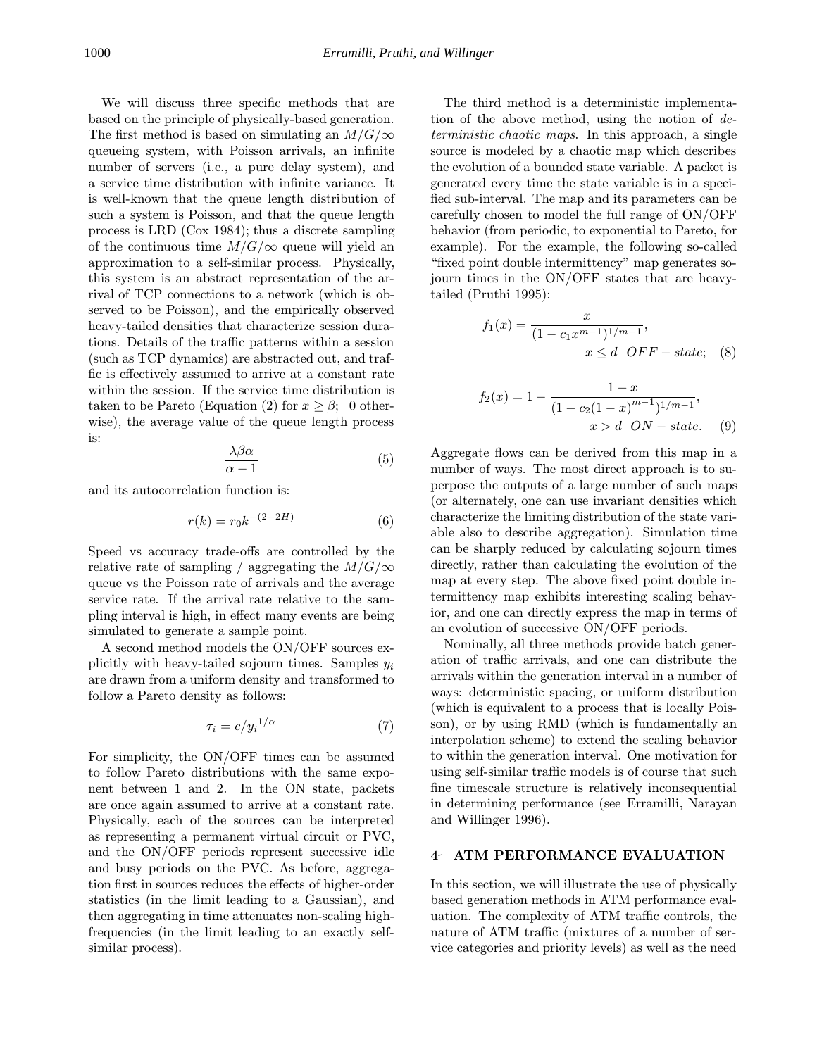We will discuss three specific methods that are based on the principle of physically-based generation. The first method is based on simulating an  $M/G/\infty$ queueing system, with Poisson arrivals, an infinite number of servers (i.e., a pure delay system), and a service time distribution with infinite variance. It is well-known that the queue length distribution of such a system is Poisson, and that the queue length process is LRD (Cox 1984); thus a discrete sampling of the continuous time  $M/G/\infty$  queue will yield an approximation to a self-similar process. Physically, this system is an abstract representation of the arrival of TCP connections to a network (which is observed to be Poisson), and the empirically observed heavy-tailed densities that characterize session durations. Details of the traffic patterns within a session (such as TCP dynamics) are abstracted out, and traffic is effectively assumed to arrive at a constant rate within the session. If the service time distribution is taken to be Pareto (Equation (2) for  $x \geq \beta$ ; 0 otherwise), the average value of the queue length process is:  $\lambda\beta\alpha$ 

$$
\frac{\lambda \beta \alpha}{\alpha - 1} \tag{5}
$$

and its autocorrelation function is:

$$
r(k) = r_0 k^{-(2-2H)} \tag{6}
$$

Speed vs accuracy trade-offs are controlled by the relative rate of sampling / aggregating the  $M/G/\infty$ queue vs the Poisson rate of arrivals and the average service rate. If the arrival rate relative to the sampling interval is high, in effect many events are being simulated to generate a sample point.

A second method models the ON/OFF sources explicitly with heavy-tailed sojourn times. Samples  $y_i$ are drawn from a uniform density and transformed to follow a Pareto density as follows:

$$
\tau_i = c / y_i^{1/\alpha} \tag{7}
$$

For simplicity, the ON/OFF times can be assumed to follow Pareto distributions with the same exponent between 1 and 2. In the ON state, packets are once again assumed to arrive at a constant rate. Physically, each of the sources can be interpreted as representing a permanent virtual circuit or PVC, and the ON/OFF periods represent successive idle and busy periods on the PVC. As before, aggregation first in sources reduces the effects of higher-order statistics (in the limit leading to a Gaussian), and then aggregating in time attenuates non-scaling highfrequencies (in the limit leading to an exactly selfsimilar process).

The third method is a deterministic implementation of the above method, using the notion of deterministic chaotic maps. In this approach, a single source is modeled by a chaotic map which describes the evolution of a bounded state variable. A packet is generated every time the state variable is in a specified sub-interval. The map and its parameters can be carefully chosen to model the full range of ON/OFF behavior (from periodic, to exponential to Pareto, for example). For the example, the following so-called "fixed point double intermittency" map generates sojourn times in the ON/OFF states that are heavytailed (Pruthi 1995):

$$
f_1(x) = \frac{x}{(1 - c_1 x^{m-1})^{1/m-1}},
$$
  
 
$$
x \le d \text{ } OFF - state; \quad (8)
$$

$$
f_2(x) = 1 - \frac{1 - x}{(1 - c_2(1 - x)^{m-1})^{1/m-1}},
$$
  

$$
x > d \quad ON - state. \quad (9)
$$

Aggregate flows can be derived from this map in a number of ways. The most direct approach is to superpose the outputs of a large number of such maps (or alternately, one can use invariant densities which characterize the limiting distribution of the state variable also to describe aggregation). Simulation time can be sharply reduced by calculating sojourn times directly, rather than calculating the evolution of the map at every step. The above fixed point double intermittency map exhibits interesting scaling behavior, and one can directly express the map in terms of an evolution of successive ON/OFF periods.

Nominally, all three methods provide batch generation of traffic arrivals, and one can distribute the arrivals within the generation interval in a number of ways: deterministic spacing, or uniform distribution (which is equivalent to a process that is locally Poisson), or by using RMD (which is fundamentally an interpolation scheme) to extend the scaling behavior to within the generation interval. One motivation for using self-similar traffic models is of course that such fine timescale structure is relatively inconsequential in determining performance (see Erramilli, Narayan and Willinger 1996).

### 4 ATM PERFORMANCE EVALUATION

In this section, we will illustrate the use of physically based generation methods in ATM performance evaluation. The complexity of ATM traffic controls, the nature of ATM traffic (mixtures of a number of service categories and priority levels) as well as the need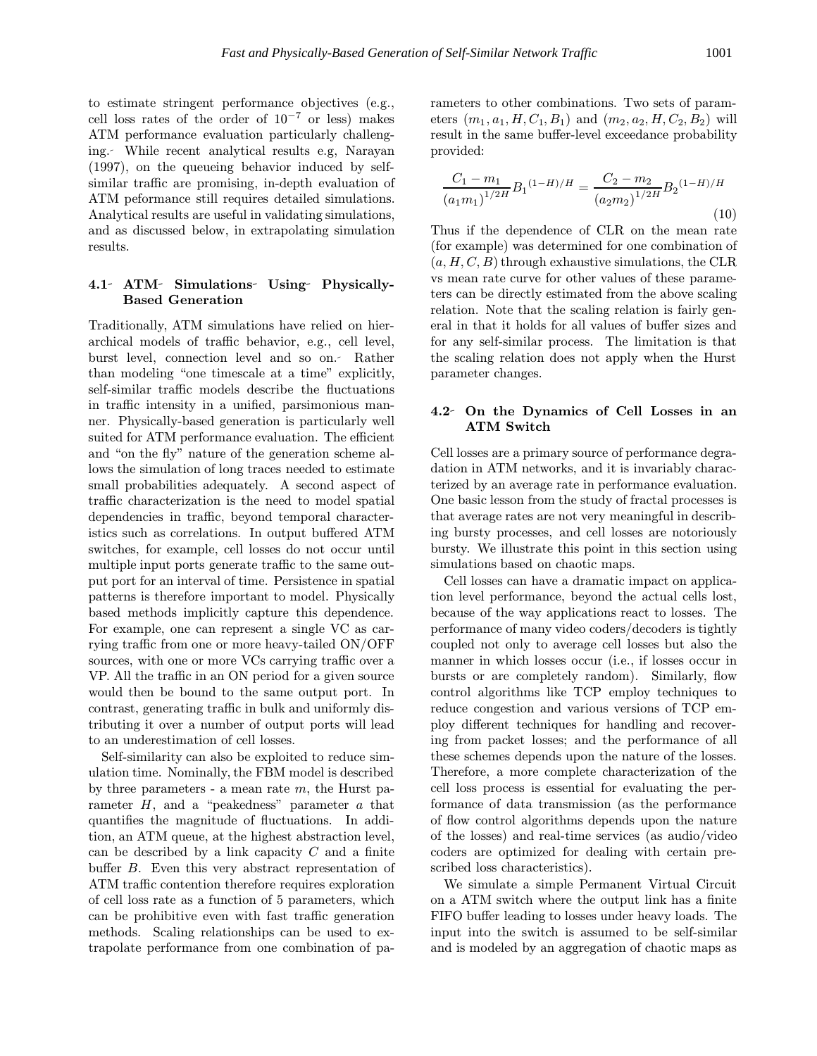to estimate stringent performance objectives (e.g., cell loss rates of the order of  $10^{-7}$  or less) makes ATM performance evaluation particularly challenging. While recent analytical results e.g, Narayan (1997), on the queueing behavior induced by selfsimilar traffic are promising, in-depth evaluation of ATM peformance still requires detailed simulations. Analytical results are useful in validating simulations, and as discussed below, in extrapolating simulation results.

### 4.1 ATM Simulations Using Physically-Based Generation

Traditionally, ATM simulations have relied on hierarchical models of traffic behavior, e.g., cell level, burst level, connection level and so on. Rather than modeling "one timescale at a time" explicitly, self-similar traffic models describe the fluctuations in traffic intensity in a unified, parsimonious manner. Physically-based generation is particularly well suited for ATM performance evaluation. The efficient and "on the fly" nature of the generation scheme allows the simulation of long traces needed to estimate small probabilities adequately. A second aspect of traffic characterization is the need to model spatial dependencies in traffic, beyond temporal characteristics such as correlations. In output buffered ATM switches, for example, cell losses do not occur until multiple input ports generate traffic to the same output port for an interval of time. Persistence in spatial patterns is therefore important to model. Physically based methods implicitly capture this dependence. For example, one can represent a single VC as carrying traffic from one or more heavy-tailed ON/OFF sources, with one or more VCs carrying traffic over a VP. All the traffic in an ON period for a given source would then be bound to the same output port. In contrast, generating traffic in bulk and uniformly distributing it over a number of output ports will lead to an underestimation of cell losses.

Self-similarity can also be exploited to reduce simulation time. Nominally, the FBM model is described by three parameters - a mean rate  $m$ , the Hurst parameter H, and a "peakedness" parameter a that quantifies the magnitude of fluctuations. In addition, an ATM queue, at the highest abstraction level, can be described by a link capacity  $C$  and a finite buffer B. Even this very abstract representation of ATM traffic contention therefore requires exploration of cell loss rate as a function of 5 parameters, which can be prohibitive even with fast traffic generation methods. Scaling relationships can be used to extrapolate performance from one combination of parameters to other combinations. Two sets of parameters  $(m_1, a_1, H, C_1, B_1)$  and  $(m_2, a_2, H, C_2, B_2)$  will result in the same buffer-level exceedance probability provided:

$$
\frac{C_1 - m_1}{(a_1 m_1)^{1/2H}} B_1^{(1-H)/H} = \frac{C_2 - m_2}{(a_2 m_2)^{1/2H}} B_2^{(1-H)/H}
$$
(10)

Thus if the dependence of CLR on the mean rate (for example) was determined for one combination of  $(a, H, C, B)$  through exhaustive simulations, the CLR vs mean rate curve for other values of these parameters can be directly estimated from the above scaling relation. Note that the scaling relation is fairly general in that it holds for all values of buffer sizes and for any self-similar process. The limitation is that the scaling relation does not apply when the Hurst parameter changes.

### 4.2 On the Dynamics of Cell Losses in an ATM Switch

Cell losses are a primary source of performance degradation in ATM networks, and it is invariably characterized by an average rate in performance evaluation. One basic lesson from the study of fractal processes is that average rates are not very meaningful in describing bursty processes, and cell losses are notoriously bursty. We illustrate this point in this section using simulations based on chaotic maps.

Cell losses can have a dramatic impact on application level performance, beyond the actual cells lost, because of the way applications react to losses. The performance of many video coders/decoders is tightly coupled not only to average cell losses but also the manner in which losses occur (i.e., if losses occur in bursts or are completely random). Similarly, flow control algorithms like TCP employ techniques to reduce congestion and various versions of TCP employ different techniques for handling and recovering from packet losses; and the performance of all these schemes depends upon the nature of the losses. Therefore, a more complete characterization of the cell loss process is essential for evaluating the performance of data transmission (as the performance of flow control algorithms depends upon the nature of the losses) and real-time services (as audio/video coders are optimized for dealing with certain prescribed loss characteristics).

We simulate a simple Permanent Virtual Circuit on a ATM switch where the output link has a finite FIFO buffer leading to losses under heavy loads. The input into the switch is assumed to be self-similar and is modeled by an aggregation of chaotic maps as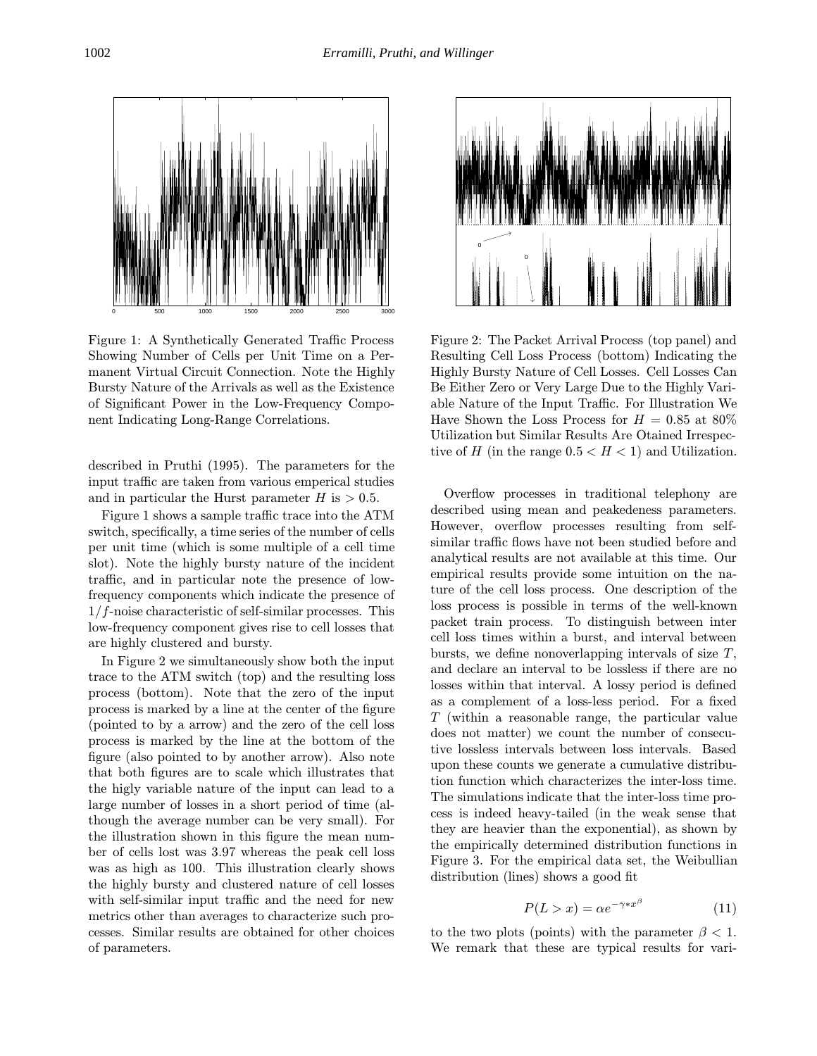

Figure 1: A Synthetically Generated Traffic Process Showing Number of Cells per Unit Time on a Permanent Virtual Circuit Connection. Note the Highly Bursty Nature of the Arrivals as well as the Existence of Significant Power in the Low-Frequency Component Indicating Long-Range Correlations.

described in Pruthi (1995). The parameters for the input traffic are taken from various emperical studies and in particular the Hurst parameter  $H$  is  $> 0.5$ .

Figure 1 shows a sample traffic trace into the ATM switch, specifically, a time series of the number of cells per unit time (which is some multiple of a cell time slot). Note the highly bursty nature of the incident traffic, and in particular note the presence of lowfrequency components which indicate the presence of  $1/f$ -noise characteristic of self-similar processes. This low-frequency component gives rise to cell losses that are highly clustered and bursty.

In Figure 2 we simultaneously show both the input trace to the ATM switch (top) and the resulting loss process (bottom). Note that the zero of the input process is marked by a line at the center of the figure (pointed to by a arrow) and the zero of the cell loss process is marked by the line at the bottom of the figure (also pointed to by another arrow). Also note that both figures are to scale which illustrates that the higly variable nature of the input can lead to a large number of losses in a short period of time (although the average number can be very small). For the illustration shown in this figure the mean number of cells lost was 3.97 whereas the peak cell loss was as high as 100. This illustration clearly shows the highly bursty and clustered nature of cell losses with self-similar input traffic and the need for new metrics other than averages to characterize such processes. Similar results are obtained for other choices of parameters.



Figure 2: The Packet Arrival Process (top panel) and Resulting Cell Loss Process (bottom) Indicating the Highly Bursty Nature of Cell Losses. Cell Losses Can Be Either Zero or Very Large Due to the Highly Variable Nature of the Input Traffic. For Illustration We Have Shown the Loss Process for  $H = 0.85$  at 80% Utilization but Similar Results Are Otained Irrespective of H (in the range  $0.5 < H < 1$ ) and Utilization.

Overflow processes in traditional telephony are described using mean and peakedeness parameters. However, overflow processes resulting from selfsimilar traffic flows have not been studied before and analytical results are not available at this time. Our empirical results provide some intuition on the nature of the cell loss process. One description of the loss process is possible in terms of the well-known packet train process. To distinguish between inter cell loss times within a burst, and interval between bursts, we define nonoverlapping intervals of size  $T$ , and declare an interval to be lossless if there are no losses within that interval. A lossy period is defined as a complement of a loss-less period. For a fixed T (within a reasonable range, the particular value does not matter) we count the number of consecutive lossless intervals between loss intervals. Based upon these counts we generate a cumulative distribution function which characterizes the inter-loss time. The simulations indicate that the inter-loss time process is indeed heavy-tailed (in the weak sense that they are heavier than the exponential), as shown by the empirically determined distribution functions in Figure 3. For the empirical data set, the Weibullian distribution (lines) shows a good fit

$$
P(L > x) = \alpha e^{-\gamma * x^{\beta}} \tag{11}
$$

to the two plots (points) with the parameter  $\beta$  < 1. We remark that these are typical results for vari-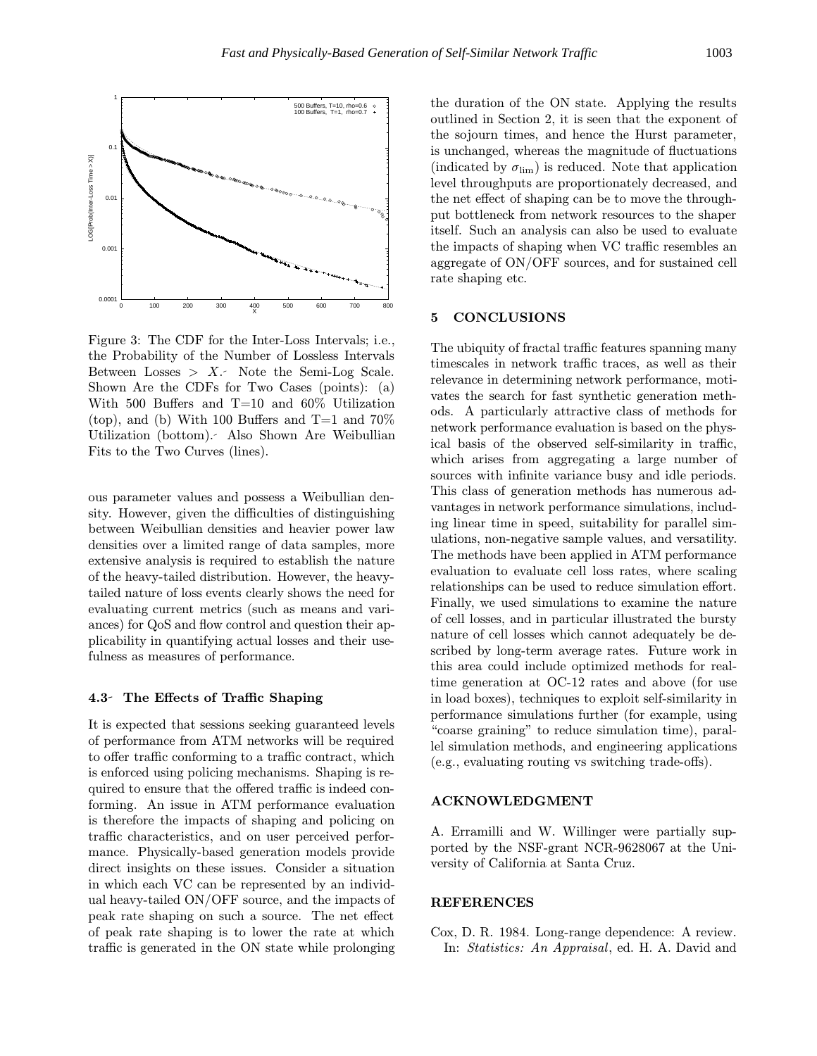

Figure 3: The CDF for the Inter-Loss Intervals; i.e., the Probability of the Number of Lossless Intervals Between Losses  $> X$ . Note the Semi-Log Scale. Shown Are the CDFs for Two Cases (points): (a) With 500 Buffers and T=10 and 60% Utilization (top), and (b) With 100 Buffers and  $T=1$  and 70% Utilization (bottom). Also Shown Are Weibullian Fits to the Two Curves (lines).

ous parameter values and possess a Weibullian density. However, given the difficulties of distinguishing between Weibullian densities and heavier power law densities over a limited range of data samples, more extensive analysis is required to establish the nature of the heavy-tailed distribution. However, the heavytailed nature of loss events clearly shows the need for evaluating current metrics (such as means and variances) for QoS and flow control and question their applicability in quantifying actual losses and their usefulness as measures of performance.

#### 4.3 The Effects of Traffic Shaping

It is expected that sessions seeking guaranteed levels of performance from ATM networks will be required to offer traffic conforming to a traffic contract, which is enforced using policing mechanisms. Shaping is required to ensure that the offered traffic is indeed conforming. An issue in ATM performance evaluation is therefore the impacts of shaping and policing on traffic characteristics, and on user perceived performance. Physically-based generation models provide direct insights on these issues. Consider a situation in which each VC can be represented by an individual heavy-tailed ON/OFF source, and the impacts of peak rate shaping on such a source. The net effect of peak rate shaping is to lower the rate at which traffic is generated in the ON state while prolonging the duration of the ON state. Applying the results outlined in Section 2, it is seen that the exponent of the sojourn times, and hence the Hurst parameter, is unchanged, whereas the magnitude of fluctuations (indicated by  $\sigma_{\text{lim}}$ ) is reduced. Note that application level throughputs are proportionately decreased, and the net effect of shaping can be to move the throughput bottleneck from network resources to the shaper itself. Such an analysis can also be used to evaluate the impacts of shaping when VC traffic resembles an aggregate of ON/OFF sources, and for sustained cell rate shaping etc.

### 5 CONCLUSIONS

The ubiquity of fractal traffic features spanning many timescales in network traffic traces, as well as their relevance in determining network performance, motivates the search for fast synthetic generation methods. A particularly attractive class of methods for network performance evaluation is based on the physical basis of the observed self-similarity in traffic, which arises from aggregating a large number of sources with infinite variance busy and idle periods. This class of generation methods has numerous advantages in network performance simulations, including linear time in speed, suitability for parallel simulations, non-negative sample values, and versatility. The methods have been applied in ATM performance evaluation to evaluate cell loss rates, where scaling relationships can be used to reduce simulation effort. Finally, we used simulations to examine the nature of cell losses, and in particular illustrated the bursty nature of cell losses which cannot adequately be described by long-term average rates. Future work in this area could include optimized methods for realtime generation at OC-12 rates and above (for use in load boxes), techniques to exploit self-similarity in performance simulations further (for example, using "coarse graining" to reduce simulation time), parallel simulation methods, and engineering applications (e.g., evaluating routing vs switching trade-offs).

### ACKNOWLEDGMENT

A. Erramilli and W. Willinger were partially supported by the NSF-grant NCR-9628067 at the University of California at Santa Cruz.

### REFERENCES

Cox, D. R. 1984. Long-range dependence: A review. In: Statistics: An Appraisal, ed. H. A. David and